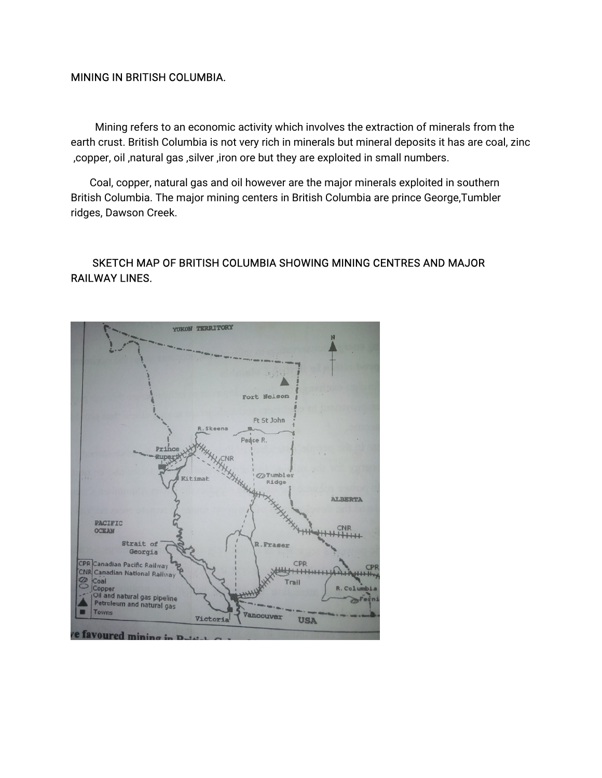#### **MINING IN BRITISH COLUMBIA.**

Mining refers to an economic activity which involves the extraction of minerals from the earth crust. British Columbia is not very rich in minerals but mineral deposits it has are coal, zinc , copper, oil, natural gas, silver, iron ore but they are exploited in small numbers.

Coal, copper, natural gas and oil however are the major minerals exploited in southern British Columbia. The major mining centers in British Columbia are prince George, Tumbler ridges, Dawson Creek.

# SKETCH MAP OF BRITISH COLUMBIA SHOWING MINING CENTRES AND MAJOR **RAILWAY LINES.**

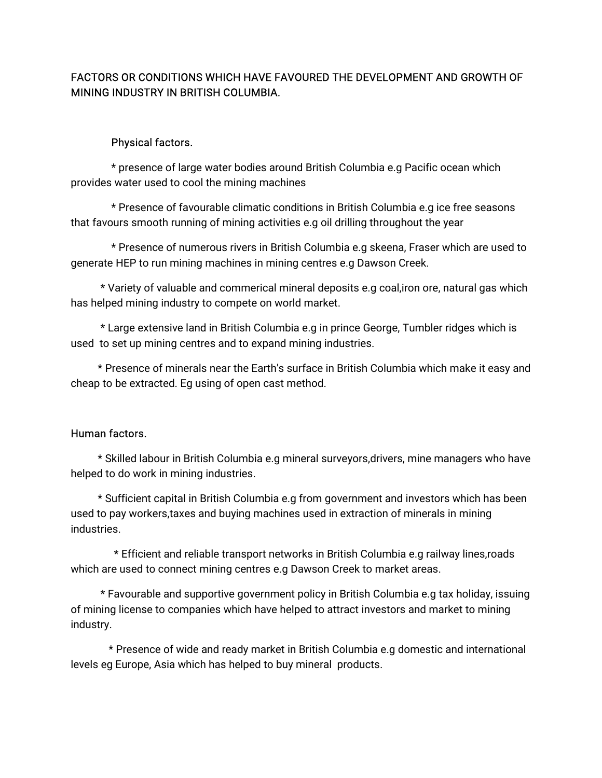# FACTORS OR CONDITIONS WHICH HAVE FAVOURED THE DEVELOPMENT AND GROWTH OF MINING INDUSTRY IN BRITISH COLUMBIA.

#### Physical factors.

\* presence of large water bodies around British Columbia e.g Pacific ocean which provides water used to cool the mining machines

\* Presence of favourable climatic conditions in British Columbia e.g ice free seasons that favours smooth running of mining activities e.g oil drilling throughout the year

\* Presence of numerous rivers in British Columbia e.g skeena, Fraser which are used to generate HEP to run mining machines in mining centres e.g Dawson Creek.

\*Varietyofvaluableandcommericalmineraldepositse.gcoal,ironore,naturalgaswhich has helped mining industry to compete on world market.

\* Large extensive land in British Columbia e.g in prince George, Tumbler ridges which is used to set up mining centres and to expand mining industries.

\* Presence of minerals near the Earth's surface in British Columbia which make it easy and cheap to be extracted. Eg using of open cast method.

#### Human factors.

\* Skilled labour in British Columbia e.g mineral surveyors,drivers, mine managers who have helped to do work in mining industries.

\* Sufficient capital in British Columbia e.g from government and investors which has been used to pay workers, taxes and buying machines used in extraction of minerals in mining industries.

\* Efficient and reliable transport networks in British Columbia e.g railway lines,roads which are used to connect mining centres e.g Dawson Creek to market areas.

\* Favourable and supportive government policy in British Columbia e.g tax holiday, issuing of mining license to companies which have helped to attract investors and market to mining industry.

\* Presence of wide and ready market in British Columbia e.g domestic and international levels eg Europe, Asia which has helped to buy mineral products.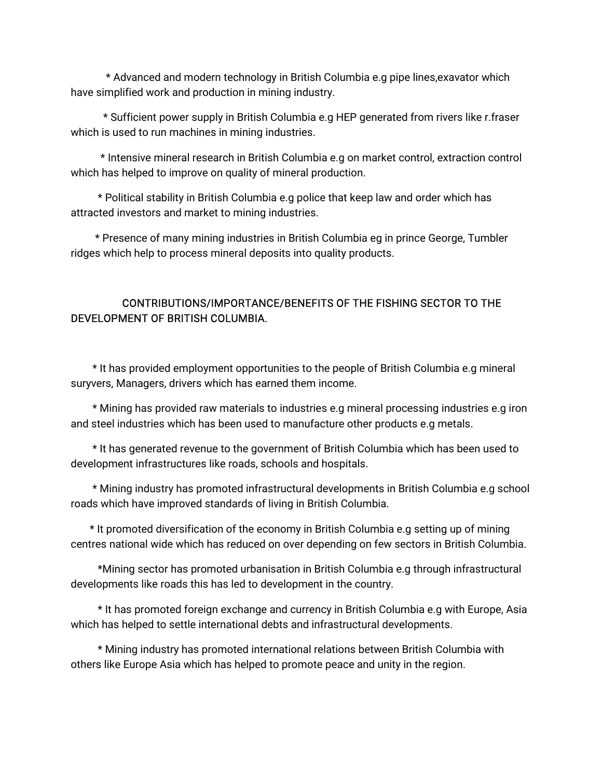\* Advanced and modern technology in British Columbia e.g pipe lines, exavator which have simplified work and production in mining industry.

\* Sufficient power supply in British Columbia e.g HEP generated from rivers like r.fraser which is used to run machines in mining industries.

\* Intensive mineral research in British Columbia e.g on market control, extraction control which has helped to improve on quality of mineral production.

\* Political stability in British Columbia e.g police that keep law and order which has attracted investors and market to mining industries.

\* Presence of many mining industries in British Columbia eg in prince George, Tumbler ridges which help to process mineral deposits into quality products.

# CONTRIBUTIONS/IMPORTANCE/BENEFITS OF THE FISHING SECTOR TO THE DEVELOPMENT OF BRITISH COLUMBIA.

\* It has provided employment opportunities to the people of British Columbia e.g mineral suryvers, Managers, drivers which has earned them income.

\* Mining has provided raw materials to industries e.g mineral processing industries e.g iron and steel industries which has been used to manufacture other products e.g metals.

\* It has generated revenue to the government of British Columbia which has been used to development infrastructures like roads, schools and hospitals.

\* Mining industry has promoted infrastructural developments in British Columbia e.g school roads which have improved standards of living in British Columbia.

\* It promoted diversification of the economy in British Columbia e.g setting up of mining centres national wide which has reduced on over depending on few sectors in British Columbia.

\*Mining sector has promoted urbanisation in British Columbia e.g through infrastructural developments like roads this has led to development in the country.

\* It has promoted foreign exchange and currency in British Columbia e.g with Europe, Asia which has helped to settle international debts and infrastructural developments.

\* Mining industry has promoted international relations between British Columbia with others like Europe Asia which has helped to promote peace and unity in the region.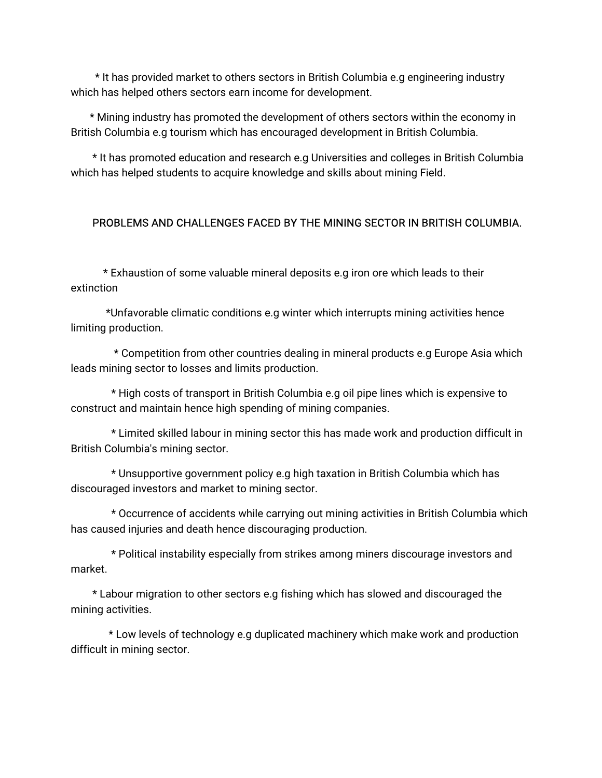\* It has provided market to others sectors in British Columbia e.g engineering industry which has helped others sectors earn income for development.

\* Mining industry has promoted the development of others sectors within the economy in British Columbia e.g tourism which has encouraged development in British Columbia.

\* It has promoted education and research e.g Universities and colleges in British Columbia which has helped students to acquire knowledge and skills about mining Field.

# PROBLEMS AND CHALLENGES FACED BY THE MINING SECTOR IN BRITISH COLUMBIA.

\*Exhaustionofsomevaluablemineraldepositse.gironorewhichleadstotheir extinction

\*Unfavorable climatic conditions e.g winter which interrupts mining activities hence limiting production.

\* Competition from other countries dealing in mineral products e.g Europe Asia which leads mining sector to losses and limits production.

\* High costs of transport in British Columbia e.g oil pipe lines which is expensive to construct and maintain hence high spending of mining companies.

\* Limited skilled labour in mining sector this has made work and production difficult in British Columbia's mining sector.

\* Unsupportive government policy e.g high taxation in British Columbia which has discouraged investors and market to mining sector.

\* Occurrence of accidents while carrying out mining activities in British Columbia which has caused injuries and death hence discouraging production.

\* Political instability especially from strikes among miners discourage investors and market.

\* Labour migration to other sectors e.g fishing which has slowed and discouraged the mining activities.

\* Low levels of technology e.g duplicated machinery which make work and production difficult in mining sector.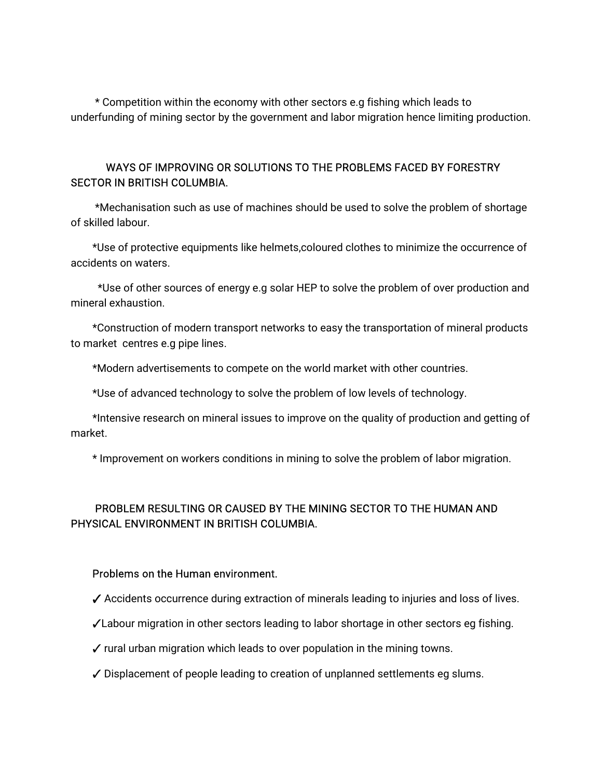\* Competition within the economy with other sectors e.g fishing which leads to underfunding of mining sector by the government and labor migration hence limiting production.

### WAYS OF IMPROVING OR SOLUTIONS TO THE PROBLEMS FACED BY FORESTRY SECTOR IN BRITISH COLUMBIA.

\*Mechanisation such as use of machines should be used to solve the problem of shortage of skilled labour.

\*Use of protective equipments like helmets,coloured clothes to minimize the occurrence of accidents on waters.

\*Use of other sources of energy e.g solar HEP to solve the problem of over production and mineral exhaustion.

\*Construction of modern transport networks to easy the transportation of mineral products to market centres e.g pipe lines.

\*Modern advertisements to compete on the world market with other countries.

\*Use of advanced technology to solve the problem of low levels of technology.

\*Intensive research on mineral issues to improve on the quality of production and getting of market.

\* Improvement on workers conditions in mining to solve the problem of labor migration.

# PROBLEM RESULTING OR CAUSED BY THE MINING SECTOR TO THE HUMAN AND PHYSICAL ENVIRONMENT IN BRITISH COLUMBIA.

#### Problems on the Human environment.

- $\checkmark$  Accidents occurrence during extraction of minerals leading to injuries and loss of lives.
- ✓Labour migration in other sectors leading to labor shortage in other sectors eg fishing.
- $\checkmark$  rural urban migration which leads to over population in the mining towns.
- ✓ Displacement of people leading to creation of unplanned settlements eg slums.